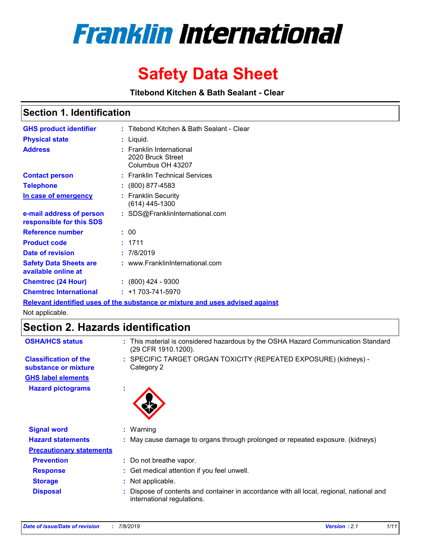

# **Safety Data Sheet**

**Titebond Kitchen & Bath Sealant - Clear** 

### **Section 1. Identification**

| <b>GHS product identifier</b>                        | : Titebond Kitchen & Bath Sealant - Clear                               |
|------------------------------------------------------|-------------------------------------------------------------------------|
| <b>Physical state</b>                                | : Liquid.                                                               |
| <b>Address</b>                                       | <b>Franklin International</b><br>2020 Bruck Street<br>Columbus OH 43207 |
| <b>Contact person</b>                                | : Franklin Technical Services                                           |
| <b>Telephone</b>                                     | $\colon$ (800) 877-4583                                                 |
| In case of emergency                                 | : Franklin Security<br>(614) 445-1300                                   |
| e-mail address of person<br>responsible for this SDS | : SDS@FranklinInternational.com                                         |
| <b>Reference number</b>                              | : 00                                                                    |
| <b>Product code</b>                                  | : 1711                                                                  |
| Date of revision                                     | : 7/8/2019                                                              |
| <b>Safety Data Sheets are</b><br>available online at | : www.FranklinInternational.com                                         |
| <b>Chemtrec (24 Hour)</b>                            | : (800) 424 - 9300                                                      |
| <b>Chemtrec International</b>                        | $: +1703 - 741 - 5970$                                                  |

**Relevant identified uses of the substance or mixture and uses advised against**

Not applicable.

# **Section 2. Hazards identification**

| <b>OSHA/HCS status</b>          | : This material is considered hazardous by the OSHA Hazard Communication Standard<br>(29 CFR 1910.1200).             |  |
|---------------------------------|----------------------------------------------------------------------------------------------------------------------|--|
| <b>Classification of the</b>    | : SPECIFIC TARGET ORGAN TOXICITY (REPEATED EXPOSURE) (kidneys) -                                                     |  |
| substance or mixture            | Category 2                                                                                                           |  |
| <b>GHS label elements</b>       |                                                                                                                      |  |
| <b>Hazard pictograms</b>        |                                                                                                                      |  |
| <b>Signal word</b>              | $:$ Warning                                                                                                          |  |
| <b>Hazard statements</b>        | May cause damage to organs through prolonged or repeated exposure. (kidneys)                                         |  |
| <b>Precautionary statements</b> |                                                                                                                      |  |
| <b>Prevention</b>               | : Do not breathe vapor.                                                                                              |  |
| <b>Response</b>                 | : Get medical attention if you feel unwell.                                                                          |  |
| <b>Storage</b>                  | Not applicable.                                                                                                      |  |
| <b>Disposal</b>                 | Dispose of contents and container in accordance with all local, regional, national and<br>international regulations. |  |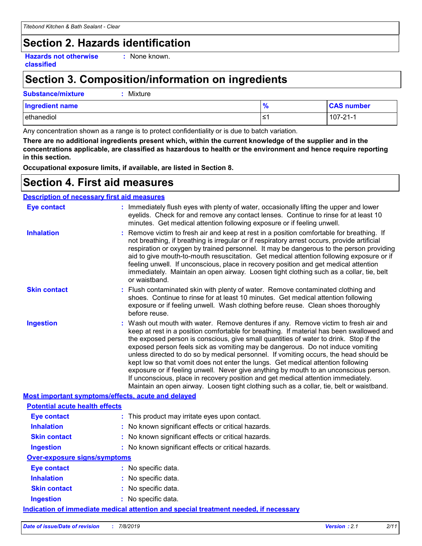# **Section 2. Hazards identification**

**Hazards not otherwise classified**

**:** None known.

# **Section 3. Composition/information on ingredients**

#### **Substance/mixture :** Mixture

| <b>Ingredient name</b> | 70 | <b>CAS number</b> |
|------------------------|----|-------------------|
| ethanediol             |    | 107-21-1          |

Any concentration shown as a range is to protect confidentiality or is due to batch variation.

**There are no additional ingredients present which, within the current knowledge of the supplier and in the concentrations applicable, are classified as hazardous to health or the environment and hence require reporting in this section.**

**Occupational exposure limits, if available, are listed in Section 8.**

### **Section 4. First aid measures**

#### **Description of necessary first aid measures**

| <b>Eye contact</b>                                 | : Immediately flush eyes with plenty of water, occasionally lifting the upper and lower<br>eyelids. Check for and remove any contact lenses. Continue to rinse for at least 10<br>minutes. Get medical attention following exposure or if feeling unwell.                                                                                                                                                                                                                                                                                                                                                                                                                                                                                                                                                         |
|----------------------------------------------------|-------------------------------------------------------------------------------------------------------------------------------------------------------------------------------------------------------------------------------------------------------------------------------------------------------------------------------------------------------------------------------------------------------------------------------------------------------------------------------------------------------------------------------------------------------------------------------------------------------------------------------------------------------------------------------------------------------------------------------------------------------------------------------------------------------------------|
| <b>Inhalation</b>                                  | : Remove victim to fresh air and keep at rest in a position comfortable for breathing. If<br>not breathing, if breathing is irregular or if respiratory arrest occurs, provide artificial<br>respiration or oxygen by trained personnel. It may be dangerous to the person providing<br>aid to give mouth-to-mouth resuscitation. Get medical attention following exposure or if<br>feeling unwell. If unconscious, place in recovery position and get medical attention<br>immediately. Maintain an open airway. Loosen tight clothing such as a collar, tie, belt<br>or waistband.                                                                                                                                                                                                                              |
| <b>Skin contact</b>                                | : Flush contaminated skin with plenty of water. Remove contaminated clothing and<br>shoes. Continue to rinse for at least 10 minutes. Get medical attention following<br>exposure or if feeling unwell. Wash clothing before reuse. Clean shoes thoroughly<br>before reuse.                                                                                                                                                                                                                                                                                                                                                                                                                                                                                                                                       |
| <b>Ingestion</b>                                   | : Wash out mouth with water. Remove dentures if any. Remove victim to fresh air and<br>keep at rest in a position comfortable for breathing. If material has been swallowed and<br>the exposed person is conscious, give small quantities of water to drink. Stop if the<br>exposed person feels sick as vomiting may be dangerous. Do not induce vomiting<br>unless directed to do so by medical personnel. If vomiting occurs, the head should be<br>kept low so that vomit does not enter the lungs. Get medical attention following<br>exposure or if feeling unwell. Never give anything by mouth to an unconscious person.<br>If unconscious, place in recovery position and get medical attention immediately.<br>Maintain an open airway. Loosen tight clothing such as a collar, tie, belt or waistband. |
| Most important symptoms/effects, acute and delayed |                                                                                                                                                                                                                                                                                                                                                                                                                                                                                                                                                                                                                                                                                                                                                                                                                   |
| <b>Potential acute health effects</b>              |                                                                                                                                                                                                                                                                                                                                                                                                                                                                                                                                                                                                                                                                                                                                                                                                                   |
| <b>Eye contact</b>                                 | : This product may irritate eyes upon contact.                                                                                                                                                                                                                                                                                                                                                                                                                                                                                                                                                                                                                                                                                                                                                                    |
| <b>Inhalation</b>                                  | : No known significant effects or critical hazards.                                                                                                                                                                                                                                                                                                                                                                                                                                                                                                                                                                                                                                                                                                                                                               |
| <b>Skin contact</b>                                | : No known significant effects or critical hazards.                                                                                                                                                                                                                                                                                                                                                                                                                                                                                                                                                                                                                                                                                                                                                               |
| <b>Ingestion</b>                                   | : No known significant effects or critical hazards.                                                                                                                                                                                                                                                                                                                                                                                                                                                                                                                                                                                                                                                                                                                                                               |
| <b>Over-exposure signs/symptoms</b>                |                                                                                                                                                                                                                                                                                                                                                                                                                                                                                                                                                                                                                                                                                                                                                                                                                   |
| <b>Eye contact</b>                                 | : No specific data.                                                                                                                                                                                                                                                                                                                                                                                                                                                                                                                                                                                                                                                                                                                                                                                               |
| <b>Inhalation</b>                                  | : No specific data.                                                                                                                                                                                                                                                                                                                                                                                                                                                                                                                                                                                                                                                                                                                                                                                               |
| <b>Skin contact</b>                                | : No specific data.                                                                                                                                                                                                                                                                                                                                                                                                                                                                                                                                                                                                                                                                                                                                                                                               |
| <b>Ingestion</b>                                   | : No specific data.                                                                                                                                                                                                                                                                                                                                                                                                                                                                                                                                                                                                                                                                                                                                                                                               |
|                                                    | Indication of immediate medical attention and special treatment needed, if necessary                                                                                                                                                                                                                                                                                                                                                                                                                                                                                                                                                                                                                                                                                                                              |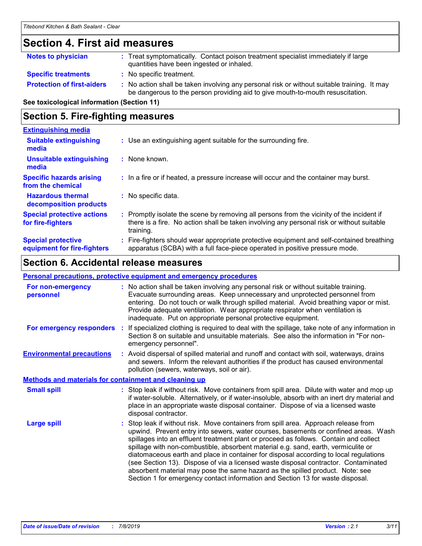# **Section 4. First aid measures**

| <b>Notes to physician</b>         | : Treat symptomatically. Contact poison treatment specialist immediately if large<br>quantities have been ingested or inhaled.                                                |
|-----------------------------------|-------------------------------------------------------------------------------------------------------------------------------------------------------------------------------|
| <b>Specific treatments</b>        | : No specific treatment.                                                                                                                                                      |
| <b>Protection of first-aiders</b> | : No action shall be taken involving any personal risk or without suitable training. It may<br>be dangerous to the person providing aid to give mouth-to-mouth resuscitation. |

**See toxicological information (Section 11)**

### **Section 5. Fire-fighting measures**

| <b>Extinguishing media</b>                               |                                                                                                                                                                                                   |
|----------------------------------------------------------|---------------------------------------------------------------------------------------------------------------------------------------------------------------------------------------------------|
| <b>Suitable extinguishing</b><br>media                   | : Use an extinguishing agent suitable for the surrounding fire.                                                                                                                                   |
| Unsuitable extinguishing<br>media                        | $:$ None known.                                                                                                                                                                                   |
| <b>Specific hazards arising</b><br>from the chemical     | : In a fire or if heated, a pressure increase will occur and the container may burst.                                                                                                             |
| <b>Hazardous thermal</b><br>decomposition products       | No specific data.                                                                                                                                                                                 |
| <b>Special protective actions</b><br>for fire-fighters   | Promptly isolate the scene by removing all persons from the vicinity of the incident if<br>there is a fire. No action shall be taken involving any personal risk or without suitable<br>training. |
| <b>Special protective</b><br>equipment for fire-fighters | : Fire-fighters should wear appropriate protective equipment and self-contained breathing<br>apparatus (SCBA) with a full face-piece operated in positive pressure mode.                          |

### **Section 6. Accidental release measures**

#### **Personal precautions, protective equipment and emergency procedures**

| For non-emergency<br>personnel                               | : No action shall be taken involving any personal risk or without suitable training.<br>Evacuate surrounding areas. Keep unnecessary and unprotected personnel from<br>entering. Do not touch or walk through spilled material. Avoid breathing vapor or mist.<br>Provide adequate ventilation. Wear appropriate respirator when ventilation is<br>inadequate. Put on appropriate personal protective equipment.                                                                                                                                                                                                                                                                                             |
|--------------------------------------------------------------|--------------------------------------------------------------------------------------------------------------------------------------------------------------------------------------------------------------------------------------------------------------------------------------------------------------------------------------------------------------------------------------------------------------------------------------------------------------------------------------------------------------------------------------------------------------------------------------------------------------------------------------------------------------------------------------------------------------|
| For emergency responders                                     | : If specialized clothing is required to deal with the spillage, take note of any information in<br>Section 8 on suitable and unsuitable materials. See also the information in "For non-<br>emergency personnel".                                                                                                                                                                                                                                                                                                                                                                                                                                                                                           |
| <b>Environmental precautions</b>                             | : Avoid dispersal of spilled material and runoff and contact with soil, waterways, drains<br>and sewers. Inform the relevant authorities if the product has caused environmental<br>pollution (sewers, waterways, soil or air).                                                                                                                                                                                                                                                                                                                                                                                                                                                                              |
| <b>Methods and materials for containment and cleaning up</b> |                                                                                                                                                                                                                                                                                                                                                                                                                                                                                                                                                                                                                                                                                                              |
| <b>Small spill</b>                                           | : Stop leak if without risk. Move containers from spill area. Dilute with water and mop up<br>if water-soluble. Alternatively, or if water-insoluble, absorb with an inert dry material and<br>place in an appropriate waste disposal container. Dispose of via a licensed waste<br>disposal contractor.                                                                                                                                                                                                                                                                                                                                                                                                     |
| <b>Large spill</b>                                           | : Stop leak if without risk. Move containers from spill area. Approach release from<br>upwind. Prevent entry into sewers, water courses, basements or confined areas. Wash<br>spillages into an effluent treatment plant or proceed as follows. Contain and collect<br>spillage with non-combustible, absorbent material e.g. sand, earth, vermiculite or<br>diatomaceous earth and place in container for disposal according to local regulations<br>(see Section 13). Dispose of via a licensed waste disposal contractor. Contaminated<br>absorbent material may pose the same hazard as the spilled product. Note: see<br>Section 1 for emergency contact information and Section 13 for waste disposal. |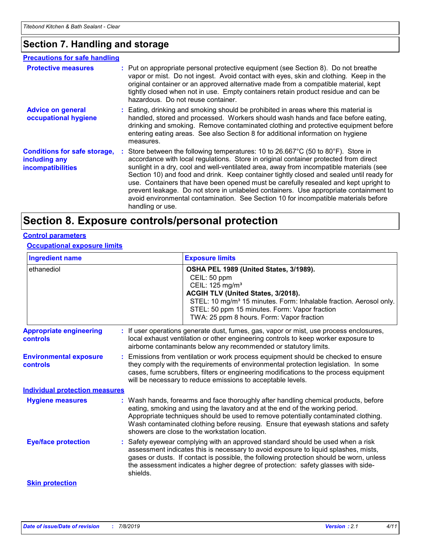### **Section 7. Handling and storage**

#### **Advice on general occupational hygiene Conditions for safe storage, including any incompatibilities** Eating, drinking and smoking should be prohibited in areas where this material is **:** handled, stored and processed. Workers should wash hands and face before eating, drinking and smoking. Remove contaminated clothing and protective equipment before entering eating areas. See also Section 8 for additional information on hygiene measures. Store between the following temperatures: 10 to 26.667°C (50 to 80°F). Store in **:** accordance with local regulations. Store in original container protected from direct sunlight in a dry, cool and well-ventilated area, away from incompatible materials (see Section 10) and food and drink. Keep container tightly closed and sealed until ready for use. Containers that have been opened must be carefully resealed and kept upright to prevent leakage. Do not store in unlabeled containers. Use appropriate containment to avoid environmental contamination. See Section 10 for incompatible materials before handling or use. **Protective measures : Put on appropriate personal protective equipment (see Section 8). Do not breathe interaction of the original content of the atthe interaction of the atthe interaction of the atthe interaction of the** vapor or mist. Do not ingest. Avoid contact with eyes, skin and clothing. Keep in the original container or an approved alternative made from a compatible material, kept tightly closed when not in use. Empty containers retain product residue and can be hazardous. Do not reuse container. **Precautions for safe handling**

### **Section 8. Exposure controls/personal protection**

#### **Control parameters**

#### **Occupational exposure limits**

| <b>Ingredient name</b>                           |  | <b>Exposure limits</b>                                                                                                                                                                                                                                                                                                                                                                          |  |  |  |
|--------------------------------------------------|--|-------------------------------------------------------------------------------------------------------------------------------------------------------------------------------------------------------------------------------------------------------------------------------------------------------------------------------------------------------------------------------------------------|--|--|--|
| ethanediol                                       |  | OSHA PEL 1989 (United States, 3/1989).<br>CEIL: 50 ppm<br>CEIL: 125 mg/m <sup>3</sup><br>ACGIH TLV (United States, 3/2018).<br>STEL: 10 mg/m <sup>3</sup> 15 minutes. Form: Inhalable fraction. Aerosol only.<br>STEL: 50 ppm 15 minutes. Form: Vapor fraction<br>TWA: 25 ppm 8 hours. Form: Vapor fraction                                                                                     |  |  |  |
| <b>Appropriate engineering</b><br>controls       |  | If user operations generate dust, fumes, gas, vapor or mist, use process enclosures,<br>local exhaust ventilation or other engineering controls to keep worker exposure to<br>airborne contaminants below any recommended or statutory limits.                                                                                                                                                  |  |  |  |
| <b>Environmental exposure</b><br><b>controls</b> |  | Emissions from ventilation or work process equipment should be checked to ensure<br>they comply with the requirements of environmental protection legislation. In some<br>cases, fume scrubbers, filters or engineering modifications to the process equipment<br>will be necessary to reduce emissions to acceptable levels.                                                                   |  |  |  |
| <b>Individual protection measures</b>            |  |                                                                                                                                                                                                                                                                                                                                                                                                 |  |  |  |
| <b>Hygiene measures</b>                          |  | Wash hands, forearms and face thoroughly after handling chemical products, before<br>eating, smoking and using the lavatory and at the end of the working period.<br>Appropriate techniques should be used to remove potentially contaminated clothing.<br>Wash contaminated clothing before reusing. Ensure that eyewash stations and safety<br>showers are close to the workstation location. |  |  |  |
| <b>Eye/face protection</b>                       |  | Safety eyewear complying with an approved standard should be used when a risk<br>assessment indicates this is necessary to avoid exposure to liquid splashes, mists,<br>gases or dusts. If contact is possible, the following protection should be worn, unless<br>the assessment indicates a higher degree of protection: safety glasses with side-<br>shields.                                |  |  |  |
| <b>Skin protection</b>                           |  |                                                                                                                                                                                                                                                                                                                                                                                                 |  |  |  |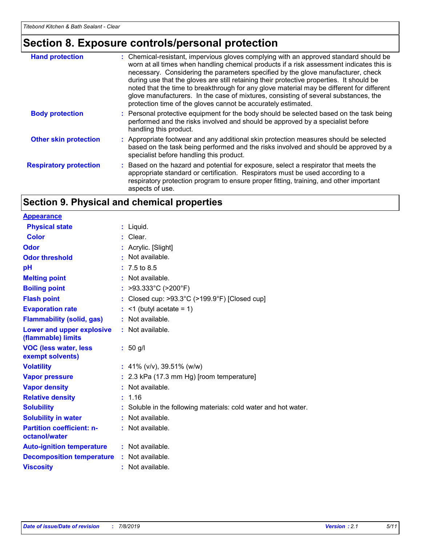# **Section 8. Exposure controls/personal protection**

| <b>Hand protection</b>        | : Chemical-resistant, impervious gloves complying with an approved standard should be<br>worn at all times when handling chemical products if a risk assessment indicates this is<br>necessary. Considering the parameters specified by the glove manufacturer, check<br>during use that the gloves are still retaining their protective properties. It should be<br>noted that the time to breakthrough for any glove material may be different for different<br>glove manufacturers. In the case of mixtures, consisting of several substances, the<br>protection time of the gloves cannot be accurately estimated. |
|-------------------------------|------------------------------------------------------------------------------------------------------------------------------------------------------------------------------------------------------------------------------------------------------------------------------------------------------------------------------------------------------------------------------------------------------------------------------------------------------------------------------------------------------------------------------------------------------------------------------------------------------------------------|
| <b>Body protection</b>        | : Personal protective equipment for the body should be selected based on the task being<br>performed and the risks involved and should be approved by a specialist before<br>handling this product.                                                                                                                                                                                                                                                                                                                                                                                                                    |
| <b>Other skin protection</b>  | : Appropriate footwear and any additional skin protection measures should be selected<br>based on the task being performed and the risks involved and should be approved by a<br>specialist before handling this product.                                                                                                                                                                                                                                                                                                                                                                                              |
| <b>Respiratory protection</b> | : Based on the hazard and potential for exposure, select a respirator that meets the<br>appropriate standard or certification. Respirators must be used according to a<br>respiratory protection program to ensure proper fitting, training, and other important<br>aspects of use.                                                                                                                                                                                                                                                                                                                                    |

## **Section 9. Physical and chemical properties**

| <b>Appearance</b>                                 |                                                                 |
|---------------------------------------------------|-----------------------------------------------------------------|
| <b>Physical state</b>                             | $:$ Liquid.                                                     |
| <b>Color</b>                                      | : Clear.                                                        |
| Odor                                              | : Acrylic. [Slight]                                             |
| <b>Odor threshold</b>                             | $:$ Not available.                                              |
| рH                                                | $: 7.5 \text{ to } 8.5$                                         |
| <b>Melting point</b>                              | : Not available.                                                |
| <b>Boiling point</b>                              | : >93.333°C (>200°F)                                            |
| <b>Flash point</b>                                | : Closed cup: >93.3°C (>199.9°F) [Closed cup]                   |
| <b>Evaporation rate</b>                           | $\leq$ 1 (butyl acetate = 1)                                    |
| <b>Flammability (solid, gas)</b>                  | : Not available.                                                |
| Lower and upper explosive<br>(flammable) limits   | : Not available.                                                |
| <b>VOC (less water, less</b><br>exempt solvents)  | $: 50$ g/l                                                      |
| <b>Volatility</b>                                 | : 41% ( $v/v$ ), 39.51% ( $w/w$ )                               |
| <b>Vapor pressure</b>                             | : 2.3 kPa (17.3 mm Hg) [room temperature]                       |
| <b>Vapor density</b>                              | : Not available.                                                |
| <b>Relative density</b>                           | : 1.16                                                          |
| <b>Solubility</b>                                 | : Soluble in the following materials: cold water and hot water. |
| <b>Solubility in water</b>                        | : Not available.                                                |
| <b>Partition coefficient: n-</b><br>octanol/water | : Not available.                                                |
| <b>Auto-ignition temperature</b>                  | : Not available.                                                |
| <b>Decomposition temperature</b>                  | : Not available.                                                |
| <b>Viscosity</b>                                  | : Not available.                                                |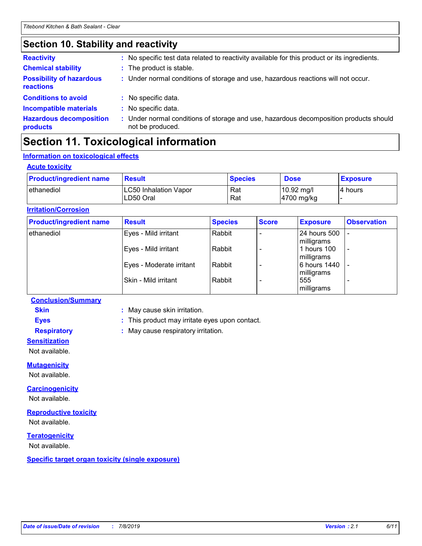# **Section 10. Stability and reactivity**

| <b>Chemical stability</b><br><b>Possibility of hazardous</b><br><b>reactions</b> | : The product is stable.<br>: Under normal conditions of storage and use, hazardous reactions will not occur. |
|----------------------------------------------------------------------------------|---------------------------------------------------------------------------------------------------------------|
|                                                                                  |                                                                                                               |
|                                                                                  |                                                                                                               |
| <b>Conditions to avoid</b>                                                       | : No specific data.                                                                                           |
| <b>Incompatible materials</b>                                                    | : No specific data.                                                                                           |
| <b>Hazardous decomposition</b><br>products                                       | : Under normal conditions of storage and use, hazardous decomposition products should<br>not be produced.     |

# **Section 11. Toxicological information**

### **Information on toxicological effects**

#### **Acute toxicity**

| <b>Product/ingredient name</b> | <b>Result</b>                             | <b>Species</b> | <b>Dose</b>                        | <b>Exposure</b> |
|--------------------------------|-------------------------------------------|----------------|------------------------------------|-----------------|
| I ethanediol                   | <b>LC50 Inhalation Vapor</b><br>LD50 Oral | Rat<br>Rat     | $10.92 \text{ mg/l}$<br>4700 mg/kg | l4 hours        |

#### **Irritation/Corrosion**

| <b>Product/ingredient name</b> | <b>Result</b>            | <b>Species</b> | <b>Score</b> | <b>Exposure</b>            | <b>Observation</b>       |
|--------------------------------|--------------------------|----------------|--------------|----------------------------|--------------------------|
| ethanediol                     | Eyes - Mild irritant     | Rabbit         |              | 24 hours 500<br>milligrams |                          |
|                                | Eyes - Mild irritant     | Rabbit         |              | 1 hours 100<br>milligrams  | $\overline{\phantom{a}}$ |
|                                | Eyes - Moderate irritant | Rabbit         |              | 6 hours 1440<br>milligrams |                          |
|                                | Skin - Mild irritant     | Rabbit         |              | 555<br>milligrams          |                          |

#### **Conclusion/Summary**

**Skin :** May cause skin irritation.

**Eyes :** This product may irritate eyes upon contact.

**Respiratory :** May cause respiratory irritation.

**Sensitization**

Not available.

#### **Mutagenicity**

Not available.

#### **Carcinogenicity**

Not available.

#### **Reproductive toxicity**

Not available.

#### **Teratogenicity**

Not available.

**Specific target organ toxicity (single exposure)**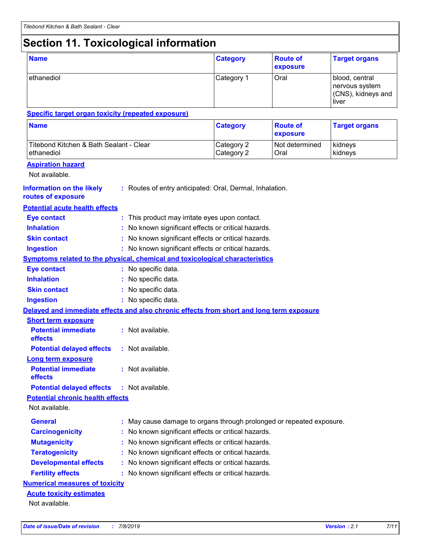# **Section 11. Toxicological information**

| <b>Name</b>                                                                              |  |                                                                      | <b>Category</b>          | <b>Route of</b><br>exposure | <b>Target organs</b>                                            |
|------------------------------------------------------------------------------------------|--|----------------------------------------------------------------------|--------------------------|-----------------------------|-----------------------------------------------------------------|
| ethanediol                                                                               |  |                                                                      | Category 1               | Oral                        | blood, central<br>nervous system<br>(CNS), kidneys and<br>liver |
| <b>Specific target organ toxicity (repeated exposure)</b>                                |  |                                                                      |                          |                             |                                                                 |
| <b>Name</b>                                                                              |  |                                                                      | <b>Category</b>          | <b>Route of</b><br>exposure | <b>Target organs</b>                                            |
| Titebond Kitchen & Bath Sealant - Clear<br>ethanediol                                    |  |                                                                      | Category 2<br>Category 2 | Not determined<br>Oral      | kidneys<br>kidneys                                              |
| <b>Aspiration hazard</b><br>Not available.                                               |  |                                                                      |                          |                             |                                                                 |
| <b>Information on the likely</b><br>routes of exposure                                   |  | : Routes of entry anticipated: Oral, Dermal, Inhalation.             |                          |                             |                                                                 |
| <b>Potential acute health effects</b>                                                    |  |                                                                      |                          |                             |                                                                 |
| <b>Eye contact</b>                                                                       |  | : This product may irritate eyes upon contact.                       |                          |                             |                                                                 |
| <b>Inhalation</b>                                                                        |  | : No known significant effects or critical hazards.                  |                          |                             |                                                                 |
| <b>Skin contact</b>                                                                      |  | : No known significant effects or critical hazards.                  |                          |                             |                                                                 |
| <b>Ingestion</b>                                                                         |  | : No known significant effects or critical hazards.                  |                          |                             |                                                                 |
| <b>Symptoms related to the physical, chemical and toxicological characteristics</b>      |  |                                                                      |                          |                             |                                                                 |
| <b>Eye contact</b>                                                                       |  | : No specific data.                                                  |                          |                             |                                                                 |
| <b>Inhalation</b>                                                                        |  | : No specific data.                                                  |                          |                             |                                                                 |
| <b>Skin contact</b>                                                                      |  | : No specific data.                                                  |                          |                             |                                                                 |
| <b>Ingestion</b>                                                                         |  | : No specific data.                                                  |                          |                             |                                                                 |
| Delayed and immediate effects and also chronic effects from short and long term exposure |  |                                                                      |                          |                             |                                                                 |
| <b>Short term exposure</b>                                                               |  |                                                                      |                          |                             |                                                                 |
| <b>Potential immediate</b><br>effects                                                    |  | : Not available.                                                     |                          |                             |                                                                 |
| <b>Potential delayed effects</b>                                                         |  | : Not available.                                                     |                          |                             |                                                                 |
| Long term exposure                                                                       |  |                                                                      |                          |                             |                                                                 |
| <b>Potential immediate</b><br>effects                                                    |  | : Not available.                                                     |                          |                             |                                                                 |
| <b>Potential delayed effects</b>                                                         |  | : Not available.                                                     |                          |                             |                                                                 |
| <b>Potential chronic health effects</b>                                                  |  |                                                                      |                          |                             |                                                                 |
| Not available.                                                                           |  |                                                                      |                          |                             |                                                                 |
| <b>General</b>                                                                           |  | : May cause damage to organs through prolonged or repeated exposure. |                          |                             |                                                                 |
| <b>Carcinogenicity</b>                                                                   |  | : No known significant effects or critical hazards.                  |                          |                             |                                                                 |
| <b>Mutagenicity</b>                                                                      |  | : No known significant effects or critical hazards.                  |                          |                             |                                                                 |
| <b>Teratogenicity</b>                                                                    |  | No known significant effects or critical hazards.                    |                          |                             |                                                                 |
| <b>Developmental effects</b>                                                             |  | No known significant effects or critical hazards.                    |                          |                             |                                                                 |
| <b>Fertility effects</b>                                                                 |  | : No known significant effects or critical hazards.                  |                          |                             |                                                                 |
| <b>Numerical measures of toxicity</b>                                                    |  |                                                                      |                          |                             |                                                                 |
| <b>Acute toxicity estimates</b>                                                          |  |                                                                      |                          |                             |                                                                 |
| Not available.                                                                           |  |                                                                      |                          |                             |                                                                 |
|                                                                                          |  |                                                                      |                          |                             |                                                                 |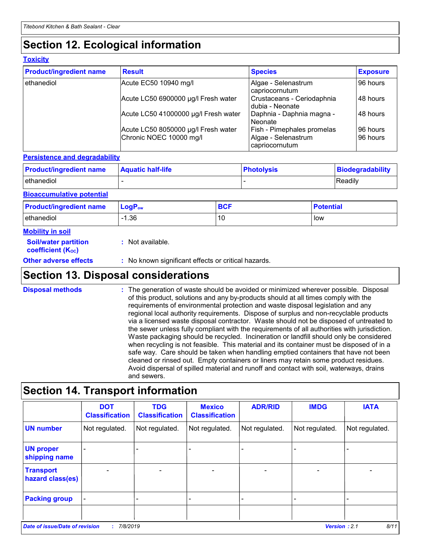# **Section 12. Ecological information**

#### **Toxicity**

| <b>Product/ingredient name</b> | <b>Result</b>                                                  | <b>Species</b>                                                             | <b>Exposure</b>      |
|--------------------------------|----------------------------------------------------------------|----------------------------------------------------------------------------|----------------------|
| ethanediol                     | Acute EC50 10940 mg/l                                          | Algae - Selenastrum<br>capriocornutum                                      | 96 hours             |
|                                | Acute LC50 6900000 µg/l Fresh water                            | Crustaceans - Ceriodaphnia<br>dubia - Neonate                              | 48 hours             |
|                                | Acute LC50 41000000 µg/l Fresh water                           | Daphnia - Daphnia magna -<br>Neonate                                       | 48 hours             |
|                                | Acute LC50 8050000 µg/l Fresh water<br>Chronic NOEC 10000 mg/l | <b>Fish - Pimephales promelas</b><br>Algae - Selenastrum<br>capriocornutum | 96 hours<br>96 hours |

#### **Persistence and degradability**

| <b>Product/ingredient name</b> | <b>Aquatic half-life</b> | ∣ Photolysis | Biodegradability |
|--------------------------------|--------------------------|--------------|------------------|
| <b>l</b> ethanediol            |                          |              | <b>Readily</b>   |

#### **Bioaccumulative potential**

| <b>Product/ingredient name</b> | $\mathsf{LogP}_\mathsf{ow}$ | <b>BCF</b> | <b>Potential</b> |
|--------------------------------|-----------------------------|------------|------------------|
| ethanediol                     | l.36<br>$-1$                | 10         | <b>low</b>       |

#### **Mobility in soil**

| --- <i>------</i> -----                                       |                                                     |
|---------------------------------------------------------------|-----------------------------------------------------|
| <b>Soil/water partition</b><br>coefficient (K <sub>oc</sub> ) | : Not available.                                    |
| <b>Other adverse effects</b>                                  | : No known significant effects or critical hazards. |

### **Section 13. Disposal considerations**

The generation of waste should be avoided or minimized wherever possible. Disposal of this product, solutions and any by-products should at all times comply with the requirements of environmental protection and waste disposal legislation and any regional local authority requirements. Dispose of surplus and non-recyclable products via a licensed waste disposal contractor. Waste should not be disposed of untreated to the sewer unless fully compliant with the requirements of all authorities with jurisdiction. Waste packaging should be recycled. Incineration or landfill should only be considered when recycling is not feasible. This material and its container must be disposed of in a safe way. Care should be taken when handling emptied containers that have not been cleaned or rinsed out. Empty containers or liners may retain some product residues. Avoid dispersal of spilled material and runoff and contact with soil, waterways, drains and sewers. **Disposal methods :**

## **Section 14. Transport information**

|                                      | <b>DOT</b><br><b>Classification</b> | <b>TDG</b><br><b>Classification</b> | <b>Mexico</b><br><b>Classification</b> | <b>ADR/RID</b> | <b>IMDG</b>              | <b>IATA</b>    |
|--------------------------------------|-------------------------------------|-------------------------------------|----------------------------------------|----------------|--------------------------|----------------|
| <b>UN number</b>                     | Not regulated.                      | Not regulated.                      | Not regulated.                         | Not regulated. | Not regulated.           | Not regulated. |
| <b>UN proper</b><br>shipping name    |                                     |                                     |                                        |                |                          |                |
| <b>Transport</b><br>hazard class(es) |                                     |                                     |                                        |                | $\overline{\phantom{0}}$ |                |
| <b>Packing group</b>                 | $\blacksquare$                      |                                     |                                        |                |                          | -              |
|                                      |                                     |                                     |                                        |                |                          |                |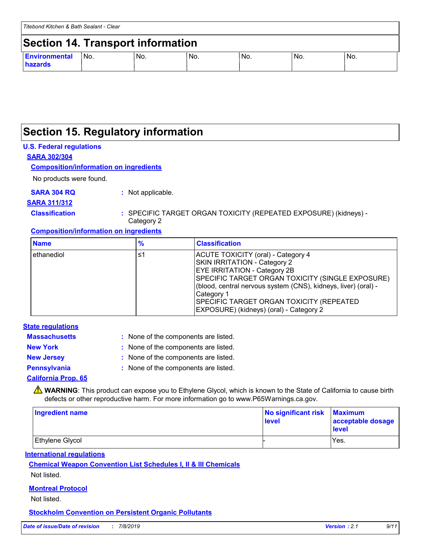### **Section 15. Regulatory information**

#### **U.S. Federal regulations**

**SARA 302/304**

#### **Composition/information on ingredients**

No products were found.

**SARA 304 RQ :** Not applicable.

### **SARA 311/312**

**Classification :** SPECIFIC TARGET ORGAN TOXICITY (REPEATED EXPOSURE) (kidneys) - Category 2

#### **Composition/information on ingredients**

| <b>Name</b> | $\frac{9}{6}$ | <b>Classification</b>                                                                                                                                                                                                                                                                                                                       |
|-------------|---------------|---------------------------------------------------------------------------------------------------------------------------------------------------------------------------------------------------------------------------------------------------------------------------------------------------------------------------------------------|
| ethanediol  | ≤1            | ACUTE TOXICITY (oral) - Category 4<br><b>SKIN IRRITATION - Category 2</b><br><b>EYE IRRITATION - Category 2B</b><br>SPECIFIC TARGET ORGAN TOXICITY (SINGLE EXPOSURE)<br>(blood, central nervous system (CNS), kidneys, liver) (oral) -<br>Category 1<br>SPECIFIC TARGET ORGAN TOXICITY (REPEATED<br>EXPOSURE) (kidneys) (oral) - Category 2 |

#### **State regulations**

| <b>Massachusetts</b> | : None of the components are listed. |
|----------------------|--------------------------------------|
| <b>New York</b>      | : None of the components are listed. |
| <b>New Jersey</b>    | : None of the components are listed. |
| <b>Pennsylvania</b>  | : None of the components are listed. |
|                      |                                      |

#### **California Prop. 65**

WARNING: This product can expose you to Ethylene Glycol, which is known to the State of California to cause birth defects or other reproductive harm. For more information go to www.P65Warnings.ca.gov.

| <b>Ingredient name</b> | No significant risk<br>level | <b>Maximum</b><br>acceptable dosage<br><b>level</b> |
|------------------------|------------------------------|-----------------------------------------------------|
| Ethylene Glycol        |                              | Yes.                                                |

#### **International regulations**

#### **Chemical Weapon Convention List Schedules I, II & III Chemicals** Not listed.

**Montreal Protocol**

Not listed.

#### **Stockholm Convention on Persistent Organic Pollutants**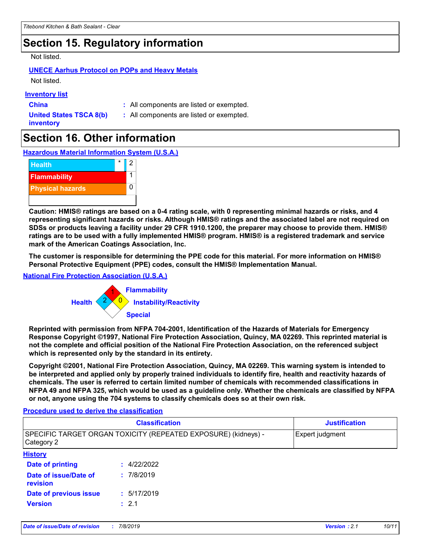# **Section 15. Regulatory information**

Not listed.

### **UNECE Aarhus Protocol on POPs and Heavy Metals**

Not listed.

#### **Inventory list**

**China :** All components are listed or exempted.

**United States TSCA 8(b) inventory**

**:** All components are listed or exempted.

# **Section 16. Other information**

**Hazardous Material Information System (U.S.A.)**



**Caution: HMIS® ratings are based on a 0-4 rating scale, with 0 representing minimal hazards or risks, and 4 representing significant hazards or risks. Although HMIS® ratings and the associated label are not required on SDSs or products leaving a facility under 29 CFR 1910.1200, the preparer may choose to provide them. HMIS® ratings are to be used with a fully implemented HMIS® program. HMIS® is a registered trademark and service mark of the American Coatings Association, Inc.**

**The customer is responsible for determining the PPE code for this material. For more information on HMIS® Personal Protective Equipment (PPE) codes, consult the HMIS® Implementation Manual.**

#### **National Fire Protection Association (U.S.A.)**



**Reprinted with permission from NFPA 704-2001, Identification of the Hazards of Materials for Emergency Response Copyright ©1997, National Fire Protection Association, Quincy, MA 02269. This reprinted material is not the complete and official position of the National Fire Protection Association, on the referenced subject which is represented only by the standard in its entirety.**

**Copyright ©2001, National Fire Protection Association, Quincy, MA 02269. This warning system is intended to be interpreted and applied only by properly trained individuals to identify fire, health and reactivity hazards of chemicals. The user is referred to certain limited number of chemicals with recommended classifications in NFPA 49 and NFPA 325, which would be used as a guideline only. Whether the chemicals are classified by NFPA or not, anyone using the 704 systems to classify chemicals does so at their own risk.**

#### **Procedure used to derive the classification**

|                                                                              | <b>Classification</b> |                 |
|------------------------------------------------------------------------------|-----------------------|-----------------|
| SPECIFIC TARGET ORGAN TOXICITY (REPEATED EXPOSURE) (kidneys) -<br>Category 2 |                       | Expert judgment |
| <b>History</b>                                                               |                       |                 |
| Date of printing                                                             | 4/22/2022<br>t.       |                 |
| Date of issue/Date of<br>revision                                            | : 7/8/2019            |                 |
| Date of previous issue                                                       | : 5/17/2019           |                 |
| <b>Version</b>                                                               | : 2.1                 |                 |
|                                                                              |                       |                 |